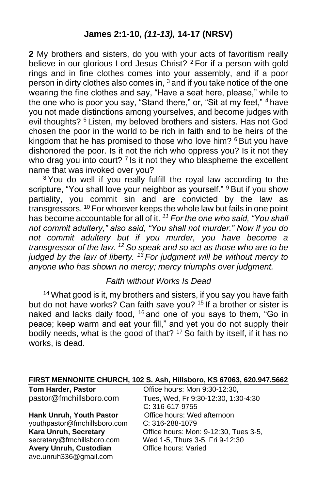**2** My brothers and sisters, do you with your acts of favoritism really believe in our glorious Lord Jesus Christ? <sup>2</sup> For if a person with gold rings and in fine clothes comes into your assembly, and if a poor person in dirty clothes also comes in,  $3$  and if you take notice of the one wearing the fine clothes and say, "Have a seat here, please," while to the one who is poor you say, "Stand there," or, "Sit at my feet," <sup>4</sup> have you not made distinctions among yourselves, and become judges with evil thoughts? <sup>5</sup> Listen, my beloved brothers and sisters. Has not God chosen the poor in the world to be rich in faith and to be heirs of the kingdom that he has promised to those who love him? <sup>6</sup> But you have dishonored the poor. Is it not the rich who oppress you? Is it not they who drag you into court?  $7$  Is it not they who blaspheme the excellent name that was invoked over you?

<sup>8</sup> You do well if you really fulfill the royal law according to the scripture, "You shall love your neighbor as yourself." <sup>9</sup> But if you show partiality, you commit sin and are convicted by the law as transgressors. <sup>10</sup> For whoever keeps the whole law but fails in one point has become accountable for all of it. *<sup>11</sup> For the one who said, "You shall not commit adultery," also said, "You shall not murder." Now if you do not commit adultery but if you murder, you have become a transgressor of the law. <sup>12</sup> So speak and so act as those who are to be judged by the law of liberty. <sup>13</sup> For judgment will be without mercy to anyone who has shown no mercy; mercy triumphs over judgment.* 

#### *Faith without Works Is Dead*

<sup>14</sup> What good is it, my brothers and sisters, if you say you have faith but do not have works? Can faith save you? <sup>15</sup> If a brother or sister is naked and lacks daily food, <sup>16</sup> and one of you says to them, "Go in peace; keep warm and eat your fill," and yet you do not supply their bodily needs, what is the good of that? <sup>17</sup> So faith by itself, if it has no works, is dead.

| FIRST MENNONITE CHURCH, 102 S. Ash, Hillsboro, KS 67063, 620.947.5662 |  |  |  |  |
|-----------------------------------------------------------------------|--|--|--|--|
|-----------------------------------------------------------------------|--|--|--|--|

| <b>Tom Harder, Pastor</b>       | Office hours: Mon 9:30-12:30,         |
|---------------------------------|---------------------------------------|
| pastor@fmchillsboro.com         | Tues, Wed, Fr 9:30-12:30, 1:30-4:30   |
|                                 | C: 316-617-9755                       |
| <b>Hank Unruh, Youth Pastor</b> | Office hours: Wed afternoon           |
| youthpastor@fmchillsboro.com    | C: 316-288-1079                       |
| Kara Unruh, Secretary           | Office hours: Mon: 9-12:30, Tues 3-5, |
| secretary@fmchillsboro.com      | Wed 1-5, Thurs 3-5, Fri 9-12:30       |
| Avery Unruh, Custodian          | Office hours: Varied                  |
| ave.unruh336@gmail.com          |                                       |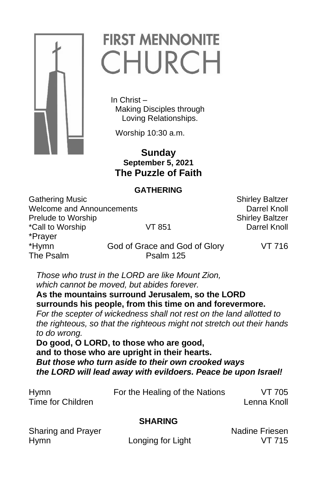

# **FIRST MENNONITE** CHURCH

 In Christ – Making Disciples through Loving Relationships.

Worship 10:30 a.m.

 **Sunday September 5, 2021 The Puzzle of Faith**

## **GATHERING**

Gathering Music **Shirley Baltzer** Shirley Baltzer Welcome and Announcements Darrel Knoll Prelude to Worship Shirley Baltzer \*Call to Worship VT 851 Darrel Knoll \*Prayer \*Hymn God of Grace and God of Glory VT 716 The Psalm **Psalm** Psalm 125

*Those who trust in the LORD are like Mount Zion, which cannot be moved, but abides forever.* **As the mountains surround Jerusalem, so the LORD surrounds his people, from this time on and forevermore.** *For the scepter of wickedness shall not rest on the land allotted to the righteous, so that the righteous might not stretch out their hands to do wrong.*

**Do good, O LORD, to those who are good, and to those who are upright in their hearts.** *But those who turn aside to their own crooked ways the LORD will lead away with evildoers. Peace be upon Israel!*

| <b>Hymn</b>       | For the Healing of the Nations | VT 705      |
|-------------------|--------------------------------|-------------|
| Time for Children |                                | Lenna Knoll |
|                   |                                |             |

## **SHARING**

| Sharing and Prayer |           |
|--------------------|-----------|
| <b>Hymn</b>        | Longing f |

Nadine Friesen for Light **VT** 715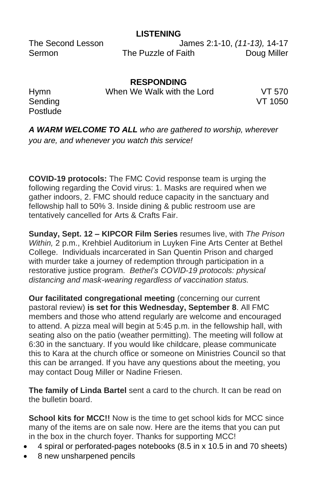## **LISTENING**

The Second Lesson James 2:1-10, *(11-13),* 14-17 Sermon The Puzzle of Faith Doug Miller

**RESPONDING** Hymn When We Walk with the Lord VT 570

Sending VT 1050 **Postlude** 

*A WARM WELCOME TO ALL who are gathered to worship, wherever you are, and whenever you watch this service!*

**COVID-19 protocols:** The FMC Covid response team is urging the following regarding the Covid virus: 1. Masks are required when we gather indoors, 2. FMC should reduce capacity in the sanctuary and fellowship hall to 50% 3. Inside dining & public restroom use are tentatively cancelled for Arts & Crafts Fair.

**Sunday, Sept. 12 – KIPCOR Film Series** resumes live, with *The Prison Within,* 2 p.m., Krehbiel Auditorium in Luyken Fine Arts Center at Bethel College. Individuals incarcerated in San Quentin Prison and charged with murder take a journey of redemption through participation in a restorative justice program. *Bethel's COVID-19 protocols: physical distancing and mask-wearing regardless of vaccination status.*

**Our facilitated congregational meeting** (concerning our current pastoral review) **is set for this Wednesday, September 8**. All FMC members and those who attend regularly are welcome and encouraged to attend. A pizza meal will begin at 5:45 p.m. in the fellowship hall, with seating also on the patio (weather permitting). The meeting will follow at 6:30 in the sanctuary. If you would like childcare, please communicate this to Kara at the church office or someone on Ministries Council so that this can be arranged. If you have any questions about the meeting, you may contact Doug Miller or Nadine Friesen.

**The family of Linda Bartel** sent a card to the church. It can be read on the bulletin board.

**School kits for MCC!!** Now is the time to get school kids for MCC since many of the items are on sale now. Here are the items that you can put in the box in the church foyer. Thanks for supporting MCC!

- 4 spiral or perforated-pages notebooks (8.5 in x 10.5 in and 70 sheets)
- 8 new unsharpened pencils